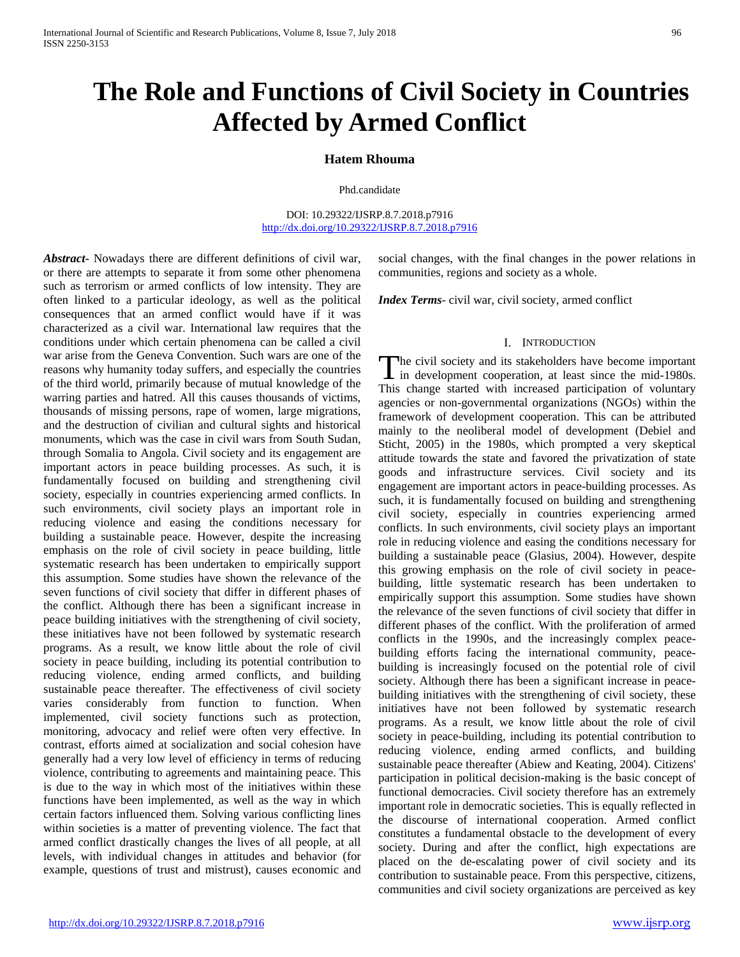# **The Role and Functions of Civil Society in Countries Affected by Armed Conflict**

# **Hatem Rhouma**

Phd.candidate

DOI: 10.29322/IJSRP.8.7.2018.p7916 <http://dx.doi.org/10.29322/IJSRP.8.7.2018.p7916>

*Abstract***-** Nowadays there are different definitions of civil war, or there are attempts to separate it from some other phenomena such as terrorism or armed conflicts of low intensity. They are often linked to a particular ideology, as well as the political consequences that an armed conflict would have if it was characterized as a civil war. International law requires that the conditions under which certain phenomena can be called a civil war arise from the Geneva Convention. Such wars are one of the reasons why humanity today suffers, and especially the countries of the third world, primarily because of mutual knowledge of the warring parties and hatred. All this causes thousands of victims, thousands of missing persons, rape of women, large migrations, and the destruction of civilian and cultural sights and historical monuments, which was the case in civil wars from South Sudan, through Somalia to Angola. Civil society and its engagement are important actors in peace building processes. As such, it is fundamentally focused on building and strengthening civil society, especially in countries experiencing armed conflicts. In such environments, civil society plays an important role in reducing violence and easing the conditions necessary for building a sustainable peace. However, despite the increasing emphasis on the role of civil society in peace building, little systematic research has been undertaken to empirically support this assumption. Some studies have shown the relevance of the seven functions of civil society that differ in different phases of the conflict. Although there has been a significant increase in peace building initiatives with the strengthening of civil society, these initiatives have not been followed by systematic research programs. As a result, we know little about the role of civil society in peace building, including its potential contribution to reducing violence, ending armed conflicts, and building sustainable peace thereafter. The effectiveness of civil society varies considerably from function to function. When implemented, civil society functions such as protection, monitoring, advocacy and relief were often very effective. In contrast, efforts aimed at socialization and social cohesion have generally had a very low level of efficiency in terms of reducing violence, contributing to agreements and maintaining peace. This is due to the way in which most of the initiatives within these functions have been implemented, as well as the way in which certain factors influenced them. Solving various conflicting lines within societies is a matter of preventing violence. The fact that armed conflict drastically changes the lives of all people, at all levels, with individual changes in attitudes and behavior (for example, questions of trust and mistrust), causes economic and

social changes, with the final changes in the power relations in communities, regions and society as a whole.

*Index Terms*- civil war, civil society, armed conflict

## I. INTRODUCTION

he civil society and its stakeholders have become important The civil society and its stakeholders have become important<br>in development cooperation, at least since the mid-1980s. This change started with increased participation of voluntary agencies or non-governmental organizations (NGOs) within the framework of development cooperation. This can be attributed mainly to the neoliberal model of development (Debiel and Sticht, 2005) in the 1980s, which prompted a very skeptical attitude towards the state and favored the privatization of state goods and infrastructure services. Civil society and its engagement are important actors in peace-building processes. As such, it is fundamentally focused on building and strengthening civil society, especially in countries experiencing armed conflicts. In such environments, civil society plays an important role in reducing violence and easing the conditions necessary for building a sustainable peace (Glasius, 2004). However, despite this growing emphasis on the role of civil society in peacebuilding, little systematic research has been undertaken to empirically support this assumption. Some studies have shown the relevance of the seven functions of civil society that differ in different phases of the conflict. With the proliferation of armed conflicts in the 1990s, and the increasingly complex peacebuilding efforts facing the international community, peacebuilding is increasingly focused on the potential role of civil society. Although there has been a significant increase in peacebuilding initiatives with the strengthening of civil society, these initiatives have not been followed by systematic research programs. As a result, we know little about the role of civil society in peace-building, including its potential contribution to reducing violence, ending armed conflicts, and building sustainable peace thereafter (Abiew and Keating, 2004). Citizens' participation in political decision-making is the basic concept of functional democracies. Civil society therefore has an extremely important role in democratic societies. This is equally reflected in the discourse of international cooperation. Armed conflict constitutes a fundamental obstacle to the development of every society. During and after the conflict, high expectations are placed on the de-escalating power of civil society and its contribution to sustainable peace. From this perspective, citizens, communities and civil society organizations are perceived as key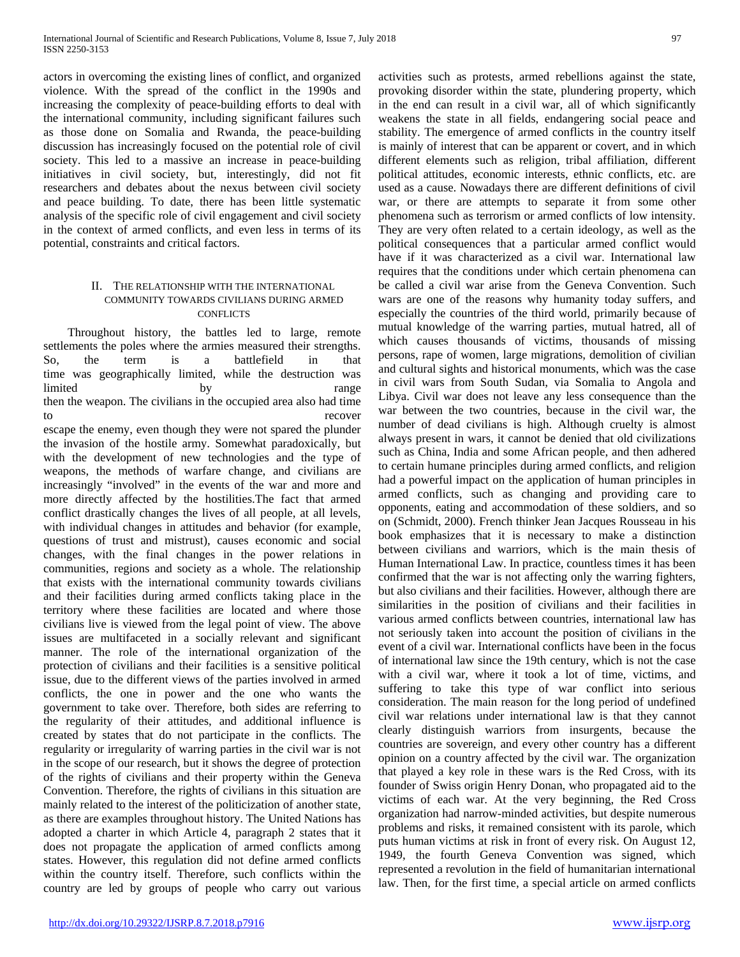actors in overcoming the existing lines of conflict, and organized violence. With the spread of the conflict in the 1990s and increasing the complexity of peace-building efforts to deal with the international community, including significant failures such as those done on Somalia and Rwanda, the peace-building discussion has increasingly focused on the potential role of civil society. This led to a massive an increase in peace-building initiatives in civil society, but, interestingly, did not fit researchers and debates about the nexus between civil society and peace building. To date, there has been little systematic analysis of the specific role of civil engagement and civil society in the context of armed conflicts, and even less in terms of its potential, constraints and critical factors.

# II. THE RELATIONSHIP WITH THE INTERNATIONAL COMMUNITY TOWARDS CIVILIANS DURING ARMED CONFLICTS

 Throughout history, the battles led to large, remote settlements the poles where the armies measured their strengths. So, the term is a battlefield in that time was geographically limited, while the destruction was limited by by range then the weapon. The civilians in the occupied area also had time to recover

escape the enemy, even though they were not spared the plunder the invasion of the hostile army. Somewhat paradoxically, but with the development of new technologies and the type of weapons, the methods of warfare change, and civilians are increasingly "involved" in the events of the war and more and more directly affected by the hostilities.The fact that armed conflict drastically changes the lives of all people, at all levels, with individual changes in attitudes and behavior (for example, questions of trust and mistrust), causes economic and social changes, with the final changes in the power relations in communities, regions and society as a whole. The relationship that exists with the international community towards civilians and their facilities during armed conflicts taking place in the territory where these facilities are located and where those civilians live is viewed from the legal point of view. The above issues are multifaceted in a socially relevant and significant manner. The role of the international organization of the protection of civilians and their facilities is a sensitive political issue, due to the different views of the parties involved in armed conflicts, the one in power and the one who wants the government to take over. Therefore, both sides are referring to the regularity of their attitudes, and additional influence is created by states that do not participate in the conflicts. The regularity or irregularity of warring parties in the civil war is not in the scope of our research, but it shows the degree of protection of the rights of civilians and their property within the Geneva Convention. Therefore, the rights of civilians in this situation are mainly related to the interest of the politicization of another state, as there are examples throughout history. The United Nations has adopted a charter in which Article 4, paragraph 2 states that it does not propagate the application of armed conflicts among states. However, this regulation did not define armed conflicts within the country itself. Therefore, such conflicts within the country are led by groups of people who carry out various activities such as protests, armed rebellions against the state, provoking disorder within the state, plundering property, which in the end can result in a civil war, all of which significantly weakens the state in all fields, endangering social peace and stability. The emergence of armed conflicts in the country itself is mainly of interest that can be apparent or covert, and in which different elements such as religion, tribal affiliation, different political attitudes, economic interests, ethnic conflicts, etc. are used as a cause. Nowadays there are different definitions of civil war, or there are attempts to separate it from some other phenomena such as terrorism or armed conflicts of low intensity. They are very often related to a certain ideology, as well as the political consequences that a particular armed conflict would have if it was characterized as a civil war. International law requires that the conditions under which certain phenomena can be called a civil war arise from the Geneva Convention. Such wars are one of the reasons why humanity today suffers, and especially the countries of the third world, primarily because of mutual knowledge of the warring parties, mutual hatred, all of which causes thousands of victims, thousands of missing persons, rape of women, large migrations, demolition of civilian and cultural sights and historical monuments, which was the case in civil wars from South Sudan, via Somalia to Angola and Libya. Civil war does not leave any less consequence than the war between the two countries, because in the civil war, the number of dead civilians is high. Although cruelty is almost always present in wars, it cannot be denied that old civilizations such as China, India and some African people, and then adhered to certain humane principles during armed conflicts, and religion had a powerful impact on the application of human principles in armed conflicts, such as changing and providing care to opponents, eating and accommodation of these soldiers, and so on (Schmidt, 2000). French thinker Jean Jacques Rousseau in his book emphasizes that it is necessary to make a distinction between civilians and warriors, which is the main thesis of Human International Law. In practice, countless times it has been confirmed that the war is not affecting only the warring fighters, but also civilians and their facilities. However, although there are similarities in the position of civilians and their facilities in various armed conflicts between countries, international law has not seriously taken into account the position of civilians in the event of a civil war. International conflicts have been in the focus of international law since the 19th century, which is not the case with a civil war, where it took a lot of time, victims, and suffering to take this type of war conflict into serious consideration. The main reason for the long period of undefined civil war relations under international law is that they cannot clearly distinguish warriors from insurgents, because the countries are sovereign, and every other country has a different opinion on a country affected by the civil war. The organization that played a key role in these wars is the Red Cross, with its founder of Swiss origin Henry Donan, who propagated aid to the victims of each war. At the very beginning, the Red Cross organization had narrow-minded activities, but despite numerous problems and risks, it remained consistent with its parole, which puts human victims at risk in front of every risk. On August 12, 1949, the fourth Geneva Convention was signed, which represented a revolution in the field of humanitarian international law. Then, for the first time, a special article on armed conflicts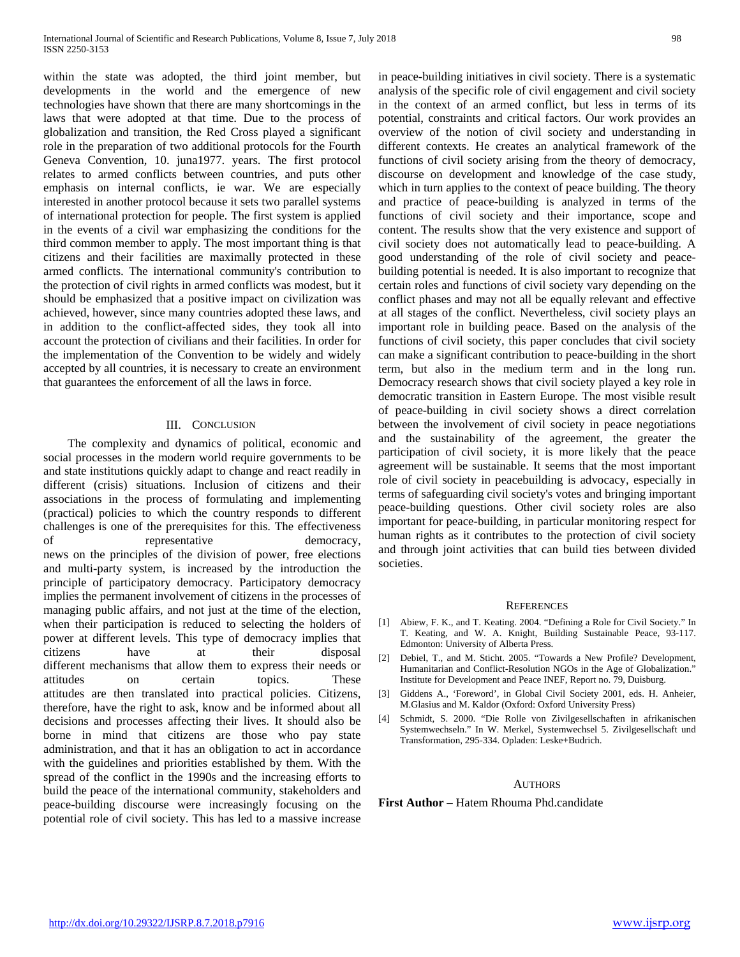within the state was adopted, the third joint member, but developments in the world and the emergence of new technologies have shown that there are many shortcomings in the laws that were adopted at that time. Due to the process of globalization and transition, the Red Cross played a significant role in the preparation of two additional protocols for the Fourth Geneva Convention, 10. juna1977. years. The first protocol relates to armed conflicts between countries, and puts other emphasis on internal conflicts, ie war. We are especially interested in another protocol because it sets two parallel systems of international protection for people. The first system is applied in the events of a civil war emphasizing the conditions for the third common member to apply. The most important thing is that citizens and their facilities are maximally protected in these armed conflicts. The international community's contribution to the protection of civil rights in armed conflicts was modest, but it should be emphasized that a positive impact on civilization was achieved, however, since many countries adopted these laws, and in addition to the conflict-affected sides, they took all into account the protection of civilians and their facilities. In order for the implementation of the Convention to be widely and widely accepted by all countries, it is necessary to create an environment that guarantees the enforcement of all the laws in force.

### III. CONCLUSION

 The complexity and dynamics of political, economic and social processes in the modern world require governments to be and state institutions quickly adapt to change and react readily in different (crisis) situations. Inclusion of citizens and their associations in the process of formulating and implementing (practical) policies to which the country responds to different challenges is one of the prerequisites for this. The effectiveness of representative democracy, news on the principles of the division of power, free elections and multi-party system, is increased by the introduction the principle of participatory democracy. Participatory democracy implies the permanent involvement of citizens in the processes of managing public affairs, and not just at the time of the election, when their participation is reduced to selecting the holders of power at different levels. This type of democracy implies that citizens have at their disposal different mechanisms that allow them to express their needs or attitudes on certain topics. These attitudes are then translated into practical policies. Citizens, therefore, have the right to ask, know and be informed about all decisions and processes affecting their lives. It should also be borne in mind that citizens are those who pay state administration, and that it has an obligation to act in accordance with the guidelines and priorities established by them. With the spread of the conflict in the 1990s and the increasing efforts to build the peace of the international community, stakeholders and peace-building discourse were increasingly focusing on the potential role of civil society. This has led to a massive increase

in peace-building initiatives in civil society. There is a systematic analysis of the specific role of civil engagement and civil society in the context of an armed conflict, but less in terms of its potential, constraints and critical factors. Our work provides an overview of the notion of civil society and understanding in different contexts. He creates an analytical framework of the functions of civil society arising from the theory of democracy, discourse on development and knowledge of the case study, which in turn applies to the context of peace building. The theory and practice of peace-building is analyzed in terms of the functions of civil society and their importance, scope and content. The results show that the very existence and support of civil society does not automatically lead to peace-building. A good understanding of the role of civil society and peacebuilding potential is needed. It is also important to recognize that certain roles and functions of civil society vary depending on the conflict phases and may not all be equally relevant and effective at all stages of the conflict. Nevertheless, civil society plays an important role in building peace. Based on the analysis of the functions of civil society, this paper concludes that civil society can make a significant contribution to peace-building in the short term, but also in the medium term and in the long run. Democracy research shows that civil society played a key role in democratic transition in Eastern Europe. The most visible result of peace-building in civil society shows a direct correlation between the involvement of civil society in peace negotiations and the sustainability of the agreement, the greater the participation of civil society, it is more likely that the peace agreement will be sustainable. It seems that the most important role of civil society in peacebuilding is advocacy, especially in terms of safeguarding civil society's votes and bringing important peace-building questions. Other civil society roles are also important for peace-building, in particular monitoring respect for human rights as it contributes to the protection of civil society and through joint activities that can build ties between divided societies.

#### **REFERENCES**

- [1] Abiew, F. K., and T. Keating. 2004. "Defining a Role for Civil Society." In T. Keating, and W. A. Knight, Building Sustainable Peace, 93-117. Edmonton: University of Alberta Press.
- [2] Debiel, T., and M. Sticht. 2005. "Towards a New Profile? Development, Humanitarian and Conflict-Resolution NGOs in the Age of Globalization." Institute for Development and Peace INEF, Report no. 79, Duisburg.
- [3] Giddens A., 'Foreword', in Global Civil Society 2001, eds. H. Anheier, M.Glasius and M. Kaldor (Oxford: Oxford University Press)
- [4] Schmidt, S. 2000. "Die Rolle von Zivilgesellschaften in afrikanischen Systemwechseln." In W. Merkel, Systemwechsel 5. Zivilgesellschaft und Transformation, 295-334. Opladen: Leske+Budrich.

### AUTHORS

**First Author** – Hatem Rhouma Phd.candidate